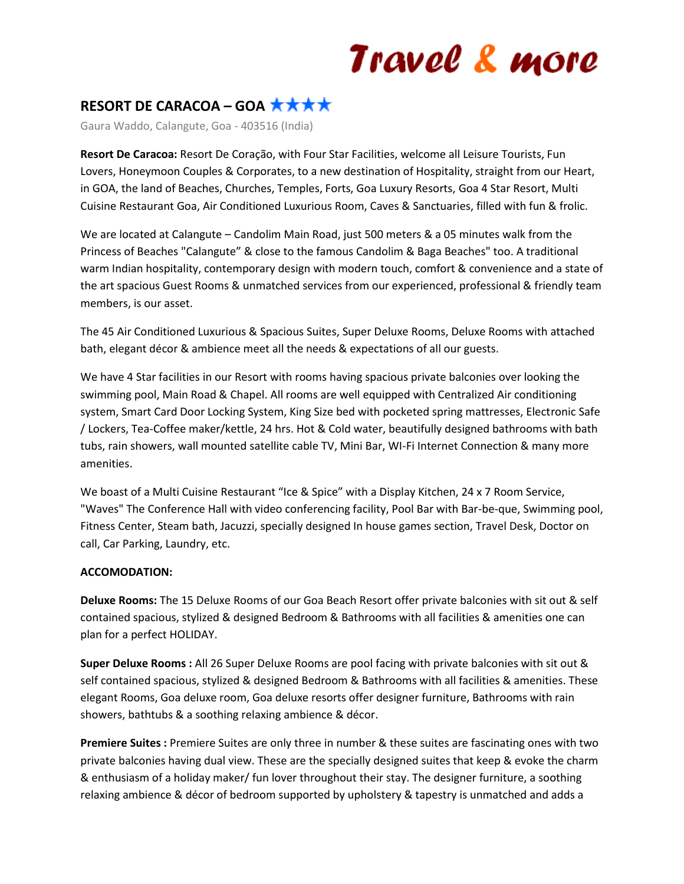# Travel & more

## **RESORT DE CARACOA – GOA**

Gaura Waddo, Calangute, Goa - 403516 (India)

**Resort De Caracoa:** Resort De Coração, with Four Star Facilities, welcome all Leisure Tourists, Fun Lovers, Honeymoon Couples & Corporates, to a new destination of Hospitality, straight from our Heart, in GOA, the land of Beaches, Churches, Temples, Forts, Goa Luxury Resorts, Goa 4 Star Resort, Multi Cuisine Restaurant Goa, Air Conditioned Luxurious Room, Caves & Sanctuaries, filled with fun & frolic.

We are located at Calangute – Candolim Main Road, just 500 meters & a 05 minutes walk from the Princess of Beaches "Calangute" & close to the famous Candolim & Baga Beaches" too. A traditional warm Indian hospitality, contemporary design with modern touch, comfort & convenience and a state of the art spacious Guest Rooms & unmatched services from our experienced, professional & friendly team members, is our asset.

The 45 Air Conditioned Luxurious & Spacious Suites, Super Deluxe Rooms, Deluxe Rooms with attached bath, elegant décor & ambience meet all the needs & expectations of all our guests.

We have 4 Star facilities in our Resort with rooms having spacious private balconies over looking the swimming pool, Main Road & Chapel. All rooms are well equipped with Centralized Air conditioning system, Smart Card Door Locking System, King Size bed with pocketed spring mattresses, Electronic Safe / Lockers, Tea-Coffee maker/kettle, 24 hrs. Hot & Cold water, beautifully designed bathrooms with bath tubs, rain showers, wall mounted satellite cable TV, Mini Bar, WI-Fi Internet Connection & many more amenities.

We boast of a Multi Cuisine Restaurant "Ice & Spice" with a Display Kitchen, 24 x 7 Room Service, "Waves" The Conference Hall with video conferencing facility, Pool Bar with Bar-be-que, Swimming pool, Fitness Center, Steam bath, Jacuzzi, specially designed In house games section, Travel Desk, Doctor on call, Car Parking, Laundry, etc.

### **ACCOMODATION:**

**Deluxe Rooms:** The 15 Deluxe Rooms of our Goa Beach Resort offer private balconies with sit out & self contained spacious, stylized & designed Bedroom & Bathrooms with all facilities & amenities one can plan for a perfect HOLIDAY.

**Super Deluxe Rooms :** All 26 Super Deluxe Rooms are pool facing with private balconies with sit out & self contained spacious, stylized & designed Bedroom & Bathrooms with all facilities & amenities. These elegant Rooms, Goa deluxe room, Goa deluxe resorts offer designer furniture, Bathrooms with rain showers, bathtubs & a soothing relaxing ambience & décor.

**Premiere Suites :** Premiere Suites are only three in number & these suites are fascinating ones with two private balconies having dual view. These are the specially designed suites that keep & evoke the charm & enthusiasm of a holiday maker/ fun lover throughout their stay. The designer furniture, a soothing relaxing ambience & décor of bedroom supported by upholstery & tapestry is unmatched and adds a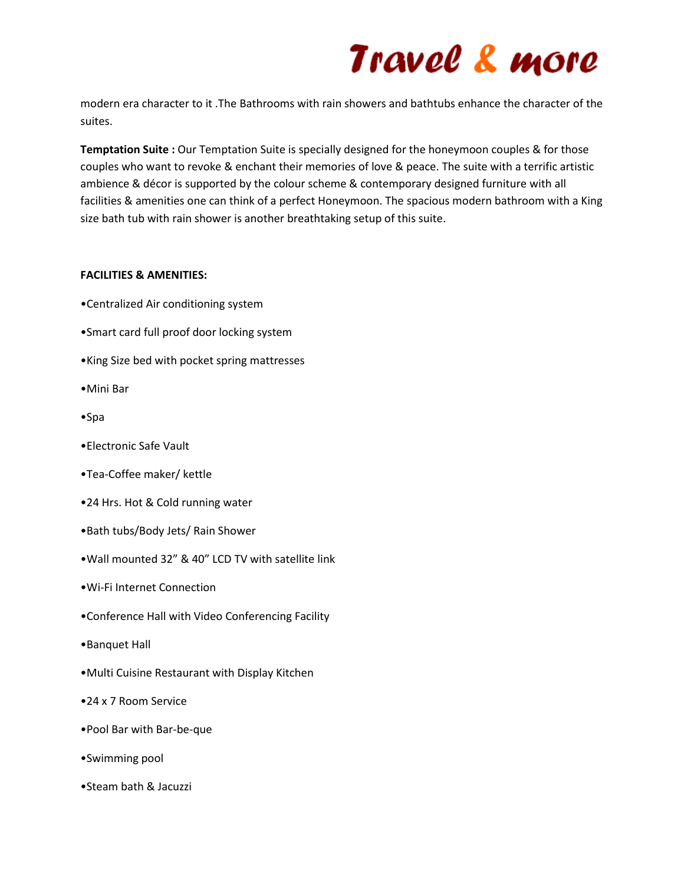# Travel & more

modern era character to it .The Bathrooms with rain showers and bathtubs enhance the character of the suites.

**Temptation Suite :** Our Temptation Suite is specially designed for the honeymoon couples & for those couples who want to revoke & enchant their memories of love & peace. The suite with a terrific artistic ambience & décor is supported by the colour scheme & contemporary designed furniture with all facilities & amenities one can think of a perfect Honeymoon. The spacious modern bathroom with a King size bath tub with rain shower is another breathtaking setup of this suite.

### **FACILITIES & AMENITIES:**

- •Centralized Air conditioning system
- •Smart card full proof door locking system
- •King Size bed with pocket spring mattresses
- •Mini Bar
- •Spa
- •Electronic Safe Vault
- •Tea-Coffee maker/ kettle
- •24 Hrs. Hot & Cold running water
- •Bath tubs/Body Jets/ Rain Shower
- •Wall mounted 32" & 40" LCD TV with satellite link
- •Wi-Fi Internet Connection
- •Conference Hall with Video Conferencing Facility
- •Banquet Hall
- •Multi Cuisine Restaurant with Display Kitchen
- •24 x 7 Room Service
- •Pool Bar with Bar-be-que
- •Swimming pool
- •Steam bath & Jacuzzi